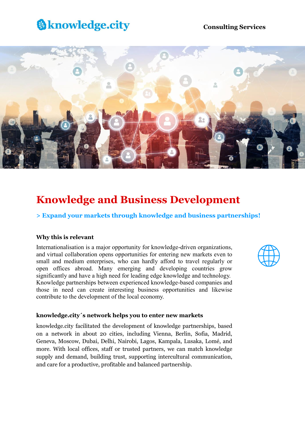# **&knowledge.city**

### **Consulting Services**



## **Knowledge and Business Development**

**> Expand your markets through knowledge and business partnerships!**

#### **Why this is relevant**

Internationalisation is a major opportunity for knowledge-driven organizations, and virtual collaboration opens opportunities for entering new markets even to small and medium enterprises, who can hardly afford to travel regularly or open offices abroad. Many emerging and developing countries grow significantly and have a high need for leading edge knowledge and technology. Knowledge partnerships between experienced knowledge-based companies and those in need can create interesting business opportunities and likewise contribute to the development of the local economy.



#### **knowledge.city´s network helps you to enter new markets**

knowledge.city facilitated the development of knowledge partnerships, based on a network in about 20 cities, including Vienna, Berlin, Sofia, Madrid, Geneva, Moscow, Dubai, Delhi, Nairobi, Lagos, Kampala, Lusaka, Lomé, and more. With local offices, staff or trusted partners, we can match knowledge supply and demand, building trust, supporting intercultural communication, and care for a productive, profitable and balanced partnership.